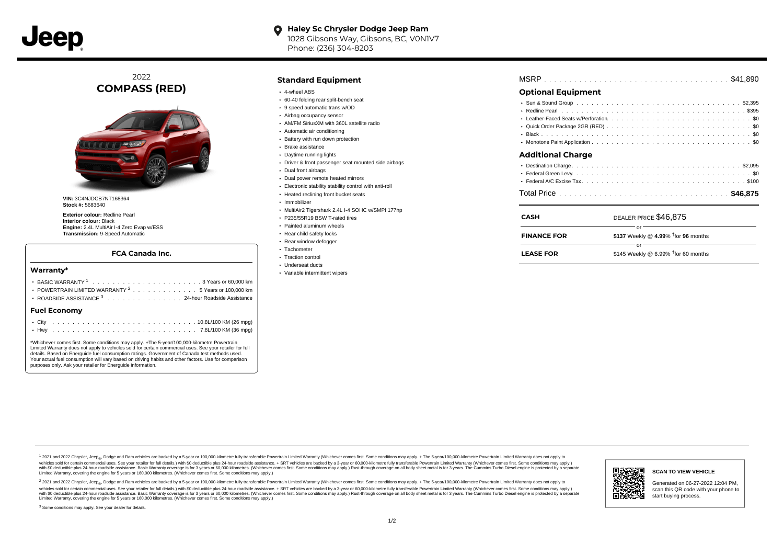

2022 **COMPASS (RED)**



**VIN:** 3C4NJDCB7NT168364 **Stock #:** 5683640

**Exterior colour:** Redline Pearl **Interior colour:** Black **Engine:** 2.4L MultiAir I-4 Zero Evap w/ESS **Transmission:** 9-Speed Automatic

## **FCA Canada Inc.**

### **Warranty\***

| POWERTRAIN LIMITED WARRANTY <sup>2</sup> 5 Years or 100,000 km |  |
|----------------------------------------------------------------|--|
| ROADSIDE ASSISTANCE 3 24-hour Roadside Assistance              |  |
| <b>Fuel Economv</b>                                            |  |
|                                                                |  |

\*Whichever comes first. Some conditions may apply. +The 5-year/100,000-kilometre Powertrain Limited Warranty does not apply to vehicles sold for certain commercial uses. See your retailer for full details. Based on Energuide fuel consumption ratings. Government of Canada test methods used. Your actual fuel consumption will vary based on driving habits and other factors. Use for comparison purposes only. Ask your retailer for Energuide information.

. . . . . . . . . . . . . . . . . . . . . . . . . . . . . . . . . . . . . . . . . . . Hwy 7.8L/100 KM (36 mpg)

# **Standard Equipment**

- 4-wheel ABS
- 60-40 folding rear split-bench seat
- 9 speed automatic trans w/OD
- Airbag occupancy sensor AM/FM SiriusXM with 360L satellite radio
- Automatic air conditioning
- Battery with run down protection
- Brake assistance
- Daytime running lights
- Driver & front passenger seat mounted side airbags
- Dual front airbags
- Dual power remote heated mirrors
- Electronic stability stability control with anti-roll
- Heated reclining front bucket seats
- · Immobilizer
- MultiAir2 Tigershark 2.4L I-4 SOHC w/SMPI 177hp
- P235/55R19 BSW T-rated tires
- Painted aluminum wheels
- Rear child safety locks
- Rear window defogger
- Tachometer
- Traction control Underseat ducts
- Variable intermittent wipers

. . . . . . . . . . . . . . . . . . . . . . . . . . . . . . . . . . . . . . . . . . . . . . MSRP \$41,890

# **Optional Equipment**

| <b>Additional Charge</b> |  |  |  |  |  |  |  |  |
|--------------------------|--|--|--|--|--|--|--|--|

| <b>CASH</b>        | DEALER PRICE \$46,875                              |  |  |  |  |  |  |
|--------------------|----------------------------------------------------|--|--|--|--|--|--|
| <b>FINANCE FOR</b> | nr<br>\$137 Weekly @ 4.99% $\dagger$ for 96 months |  |  |  |  |  |  |
| <b>LEASE FOR</b>   | \$145 Weekly @ 6.99% $†$ for 60 months             |  |  |  |  |  |  |

1 2021 and 2022 Chrysler, Jeep<sub>er</sub>, Dodge and Ram vehicles are backed by a 5-year or 100,000-kilometre fully transferable Powertrain Limited Warranty (Whichever comes first. Some conditions may apply. + The 5-year/100,000vehicles sold for certain commercial uses. See your retailer for full details.) with \$0 deductible plus 24-hour roadside assistance. + SRT vehicles are backed by a 3-year or 60,000-kilometre fully transferable Powertrain L versus and contract the mean of the contract of the contract with a contract with a contract the contract of the search of the contract and a control of the contract and contract and control of the search of the search of Limited Warranty, covering the engine for 5 years or 160,000 kilometres. (Whichever comes first. Some conditions may apply.)

<sup>2</sup> 2021 and 2022 Chrysler, Jeep<sub>®</sub>, Dodge and Ram vehicles are backed by a 5-year or 100,000-kilometre fully transferable Powertrain Limited Warranty (Whichever comes first. Some conditions may apply. + The 5-year/100,000 vehicles sold for certain commercial uses. See your retailer for full details.) with SO deductible plus 24-hour roadside assistance. + SRT vehicles are backed by a 3-year or 60.000-kilometre fully transferable Powertrain L with S0 deductible plus 24-hour roadside assistance. Basic Warranty coverage is for 3 years or 60,000 kilometres. (Whichever comes first. Some conditions may apply.) Rust-through coverage on all body sheet metal is for 3 y

<sup>3</sup> Some conditions may apply. See your dealer for details.



Generated on 06-27-2022 12:04 PM, scan this QR code with your phone to